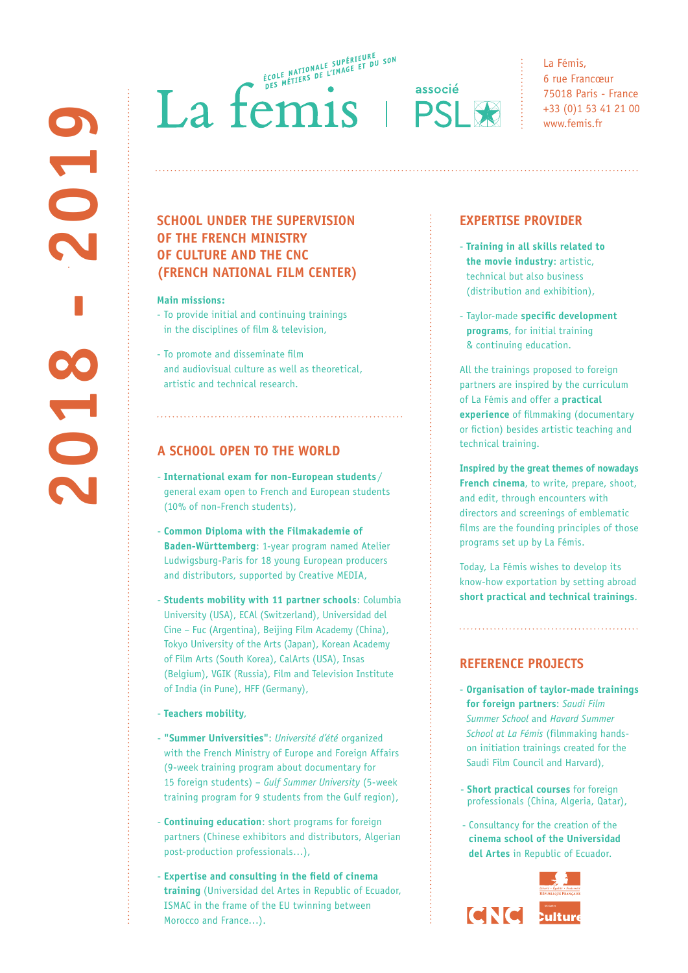La femerieus DE L'IMAGE ET DU SON

associé **PSLS** 

La Fémis, 6 rue Francœur 75018 Paris - France +33 (0)1 53 41 21 00 www.femis.fr

## **SCHOOL UNDER THE SUPERVISION OF THE FRENCH MINISTRY OF CULTURE AND THE CNC (FRENCH NATIONAL FILM CENTER)**

#### **Main missions:**

- To provide initial and continuing trainings in the disciplines of film & television,
- To promote and disseminate film and audiovisual culture as well as theoretical, artistic and technical research.

#### **A SCHOOL OPEN TO THE WORLD**

- **International exam for non-European students** / general exam open to French and European students (10% of non-French students),
- **Common Diploma with the Filmakademie of Baden-Württemberg**: 1-year program named Atelier Ludwigsburg-Paris for 18 young European producers and distributors, supported by Creative MEDIA,
- **Students mobility with 11 partner schools**: Columbia University (USA), ECAl (Switzerland), Universidad del Cine – Fuc (Argentina), Beijing Film Academy (China), Tokyo University of the Arts (Japan), Korean Academy of Film Arts (South Korea), CalArts (USA), Insas (Belgium), VGIK (Russia), Film and Television Institute of India (in Pune), HFF (Germany),
- **Teachers mobility** ,
- **"Summer Universities"**: *Université d'été* organized with the French Ministry of Europe and Foreign Affairs (9-week training program about documentary for 15 foreign students) – *Gulf Summer University* (5-week training program for 9 students from the Gulf region),
- **Continuing education**: short programs for foreign partners (Chinese exhibitors and distributors, Algerian post-production professionals…),
- **Expertise and consulting in the field of cinema training** (Universidad del Artes in Republic of Ecuador, ISMAC in the frame of the EU twinning between Morocco and France…).

### **EXPERTISE PROVIDER**

- **Training in all skills related to the movie industry**: artistic, technical but also business (distribution and exhibition),
- Taylor-made **specific development programs**, for initial training & continuing education.

All the trainings proposed to foreign partners are inspired by the curriculum of La Fémis and offer a **practical experience** of filmmaking (documentary or fiction) besides artistic teaching and technical training.

**Inspired by the great themes of nowadays French cinema**, to write, prepare, shoot, and edit, through encounters with directors and screenings of emblematic films are the founding principles of those programs set up by La Fémis.

Today, La Fémis wishes to develop its know-how exportation by setting abroad **short practical and technical trainings** .

#### **REFERENCE PROJECTS**

- **Organisation of taylor-made trainings for foreign partners**: *Saudi Film Summer School* and *Havard Summer School at La Fémis* (filmmaking handson initiation trainings created for the Saudi Film Council and Harvard),
- **Short practical courses** for foreign professionals (China, Algeria, Qatar),
- Consultancy for the creation of the **cinema s chool of the Universidad de l Arte s** in Republic of Ecuador.